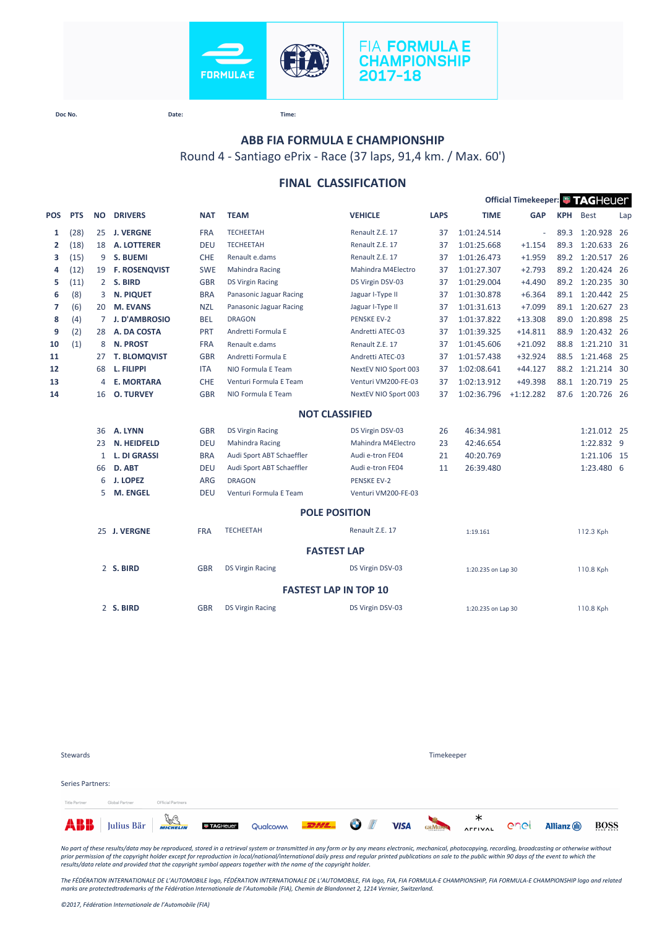



**Doc No. Date: Time:**

### **ABB FIA FORMULA E CHAMPIONSHIP**

Round 4 - Santiago ePrix - Race (37 laps, 91,4 km. / Max. 60')

#### **FINAL CLASSIFICATION**

|              |            |              |                      |            |                           |                              |             |                    | Official Timekeeper: FAGHeuer |            |                  |      |
|--------------|------------|--------------|----------------------|------------|---------------------------|------------------------------|-------------|--------------------|-------------------------------|------------|------------------|------|
| POS          | <b>PTS</b> | <b>NO</b>    | <b>DRIVERS</b>       | <b>NAT</b> | <b>TEAM</b>               | <b>VEHICLE</b>               | <b>LAPS</b> | <b>TIME</b>        | <b>GAP</b>                    | <b>KPH</b> | <b>Best</b>      | Lap  |
| 1            | (28)       | 25           | <b>J. VERGNE</b>     | <b>FRA</b> | <b>TECHEETAH</b>          | Renault Z.E. 17              | 37          | 1:01:24.514        | $\sim$                        | 89.3       | 1:20.928 26      |      |
| $\mathbf{2}$ | (18)       | 18           | A. LOTTERER          | <b>DEU</b> | <b>TECHEETAH</b>          | Renault Z.E. 17              | 37          | 1:01:25.668        | $+1.154$                      | 89.3       | 1:20.633 26      |      |
| з            | (15)       | 9            | S. BUEMI             | <b>CHE</b> | Renault e.dams            | Renault Z.E. 17              | 37          | 1:01:26.473        | $+1.959$                      | 89.2       | 1:20.517 26      |      |
| 4            | (12)       | 19           | <b>F. ROSENQVIST</b> | <b>SWE</b> | <b>Mahindra Racing</b>    | Mahindra M4Electro           | 37          | 1:01:27.307        | $+2.793$                      | 89.2       | 1:20.424 26      |      |
| 5            | (11)       | $2^{\circ}$  | S. BIRD              | <b>GBR</b> | <b>DS Virgin Racing</b>   | DS Virgin DSV-03             | 37          | 1:01:29.004        | $+4.490$                      | 89.2       | 1:20.235         | - 30 |
| 6            | (8)        | 3            | <b>N. PIQUET</b>     | <b>BRA</b> | Panasonic Jaguar Racing   | Jaguar I-Type II             | 37          | 1:01:30.878        | $+6.364$                      |            | 89.1 1:20.442 25 |      |
| 7            | (6)        | 20           | M. EVANS             | <b>NZL</b> | Panasonic Jaguar Racing   | Jaguar I-Type II             | 37          | 1:01:31.613        | $+7.099$                      | 89.1       | 1:20.627 23      |      |
| 8            | (4)        | 7            | <b>J. D'AMBROSIO</b> | <b>BEL</b> | <b>DRAGON</b>             | <b>PENSKE EV-2</b>           | 37          | 1:01:37.822        | $+13.308$                     | 89.0       | 1:20.898 25      |      |
| 9            | (2)        | 28           | A. DA COSTA          | PRT        | Andretti Formula E        | Andretti ATEC-03             | 37          | 1:01:39.325        | $+14.811$                     | 88.9       | 1:20.432 26      |      |
| 10           | (1)        | 8            | <b>N. PROST</b>      | <b>FRA</b> | Renault e.dams            | Renault Z.E. 17              | 37          | 1:01:45.606        | $+21.092$                     | 88.8       | 1:21.210 31      |      |
| 11           |            | 27           | <b>T. BLOMQVIST</b>  | <b>GBR</b> | Andretti Formula E        | Andretti ATEC-03             | 37          | 1:01:57.438        | $+32.924$                     | 88.5       | 1:21.468 25      |      |
| 12           |            | 68           | L. FILIPPI           | <b>ITA</b> | NIO Formula E Team        | NextEV NIO Sport 003         | 37          | 1:02:08.641        | $+44.127$                     | 88.2       | 1:21.214 30      |      |
| 13           |            | 4            | <b>E. MORTARA</b>    | <b>CHE</b> | Venturi Formula E Team    | Venturi VM200-FE-03          | 37          | 1:02:13.912        | $+49.398$                     | 88.1       | 1:20.719 25      |      |
| 14           |            | 16           | <b>O. TURVEY</b>     | <b>GBR</b> | NIO Formula E Team        | NextEV NIO Sport 003         | 37          | 1:02:36.796        | $+1:12.282$                   | 87.6       | 1:20.726 26      |      |
|              |            |              |                      |            |                           | <b>NOT CLASSIFIED</b>        |             |                    |                               |            |                  |      |
|              |            | 36           | A. LYNN              | <b>GBR</b> | <b>DS Virgin Racing</b>   | DS Virgin DSV-03             | 26          | 46:34.981          |                               |            | 1:21.012 25      |      |
|              |            | 23           | N. HEIDFELD          | <b>DEU</b> | <b>Mahindra Racing</b>    | Mahindra M4Electro           | 23          | 42:46.654          |                               |            | 1:22.832 9       |      |
|              |            | $\mathbf{1}$ | <b>L. DI GRASSI</b>  | <b>BRA</b> | Audi Sport ABT Schaeffler | Audi e-tron FE04             | 21          | 40:20.769          |                               |            | 1:21.106 15      |      |
|              |            | 66           | D. ABT               | <b>DEU</b> | Audi Sport ABT Schaeffler | Audi e-tron FE04             | 11          | 26:39.480          |                               |            | 1:23.480 6       |      |
|              |            | 6            | <b>J. LOPEZ</b>      | ARG        | <b>DRAGON</b>             | <b>PENSKE EV-2</b>           |             |                    |                               |            |                  |      |
|              |            | 5            | <b>M. ENGEL</b>      | <b>DEU</b> | Venturi Formula E Team    | Venturi VM200-FE-03          |             |                    |                               |            |                  |      |
|              |            |              |                      |            |                           | <b>POLE POSITION</b>         |             |                    |                               |            |                  |      |
|              |            |              | 25 J. VERGNE         | <b>FRA</b> | <b>TECHEETAH</b>          | Renault Z.E. 17              |             | 1:19.161           |                               |            | 112.3 Kph        |      |
|              |            |              |                      |            |                           | <b>FASTEST LAP</b>           |             |                    |                               |            |                  |      |
|              |            |              | 2 S. BIRD            | <b>GBR</b> | <b>DS Virgin Racing</b>   | DS Virgin DSV-03             |             | 1:20.235 on Lap 30 |                               |            | 110.8 Kph        |      |
|              |            |              |                      |            |                           | <b>FASTEST LAP IN TOP 10</b> |             |                    |                               |            |                  |      |
|              |            |              | 2 S. BIRD            | <b>GBR</b> | <b>DS Virgin Racing</b>   | DS Virgin DSV-03             |             | 1:20.235 on Lap 30 |                               |            | 110.8 Kph        |      |
|              |            |              |                      |            |                           |                              |             |                    |                               |            |                  |      |

| <b>Stewards</b>  |                |                   |                                                                                                   |  | Timekeeper |  |                    |             |
|------------------|----------------|-------------------|---------------------------------------------------------------------------------------------------|--|------------|--|--------------------|-------------|
| Series Partners: |                |                   |                                                                                                   |  |            |  |                    |             |
| Title Partner    | Global Partner | Official Partners |                                                                                                   |  |            |  |                    |             |
|                  |                |                   | <b>ABB</b> Julius Bär <b>Welling Contracteur</b> Qualcomm <b>EDHL OF VISA</b> GRADEN AFFIVAL COOL |  |            |  | <b>Allianz</b> (l) | <b>BOSS</b> |

*No part of these results/data may be reproduced, stored in a retrieval system or transmitted in any form or by any means electronic, mechanical, photocopying, recording, broadcasting or otherwise without*  prior permission of the copyright holder except for reproduction in local/national/international daily press and regular printed publications on sale to the public within 90 days of the event to which the<br>results/data rela

*The FÉDÉRATION INTERNATIONALE DE L'AUTOMOBILE logo, FÉDÉRATION INTERNATIONALE DE L'AUTOMOBILE, FIA logo, FIA, FIA FORMULA-E CHAMPIONSHIP, FIA FORMULA-E CHAMPIONSHIP logo and related marks are protectedtrademarks of the Fédération Internationale de l'Automobile (FIA), Chemin de Blandonnet 2, 1214 Vernier, Switzerland.*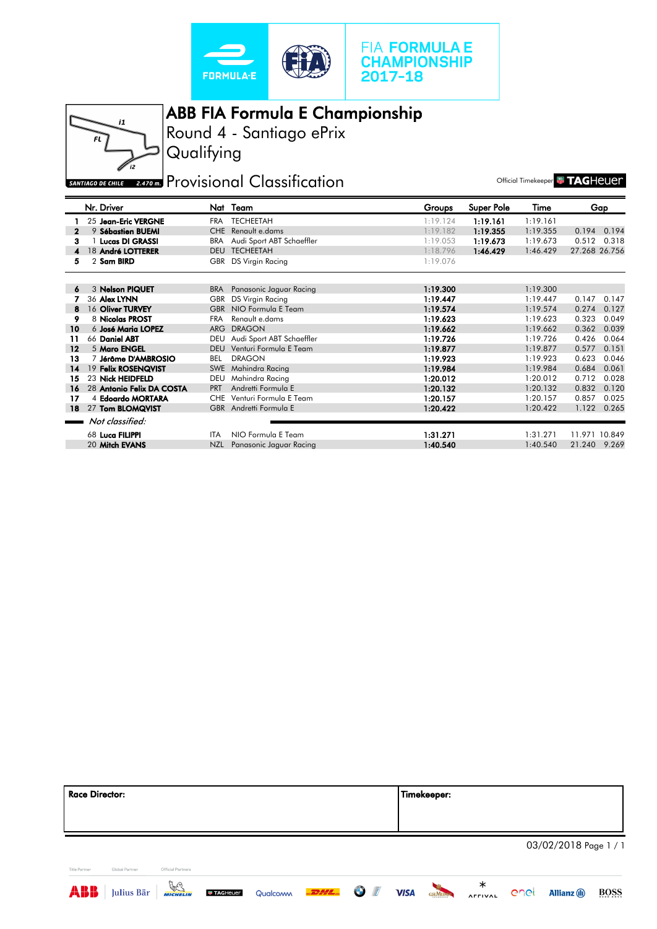



Round 4 - Santiago ePrix ABB FIA Formula E Championship

**Qualifying** 

# **EXATTAGO DE CHILE** 2.470 **RE** Provisional Classification

Official Timekeeper **& TAGHEUE**r

|              | Nr. Driver                |            | Nat Team                      | Groups   | Super Pole | Time     |               | Gap   |
|--------------|---------------------------|------------|-------------------------------|----------|------------|----------|---------------|-------|
|              | 25 Jean-Eric VERGNE       |            | FRA TECHEETAH                 | 1:19.124 | 1:19.161   | 1:19.161 |               |       |
| $\mathbf{2}$ | 9 Sébastien BUEMI         |            | CHE Renault e.dams            | 1:19.182 | 1:19.355   | 1:19.355 | 0.194         | 0.194 |
| 3            | <b>Lucas DI GRASSI</b>    | BRA        | Audi Sport ABT Schaeffler     | 1:19.053 | 1:19.673   | 1:19.673 | 0.512         | 0.318 |
| 4            | 18 André LOTTERER         | <b>DEU</b> | <b>TECHEETAH</b>              | 1:18.796 | 1:46.429   | 1:46.429 | 27.268 26.756 |       |
| 5            | 2 Sam BIRD                | GBR        | <b>DS Virgin Racing</b>       | 1:19.076 |            |          |               |       |
|              |                           |            |                               |          |            |          |               |       |
| 6            | 3 Nelson PIQUET           | <b>BRA</b> | Panasonic Jaguar Racing       | 1:19.300 |            | 1:19.300 |               |       |
|              | 36 Alex LYNN              | GBR        | DS Virgin Racing              | 1:19.447 |            | 1:19.447 | 0.147         | 0.147 |
| 8            | 16 Oliver TURVEY          |            | GBR NIO Formula E Team        | 1:19.574 |            | 1:19.574 | 0.274         | 0.127 |
| 9            | 8 Nicolas PROST           | <b>FRA</b> | Renault e.dams                | 1:19.623 |            | 1:19.623 | 0.323         | 0.049 |
| 10           | 6 José Maria LOPEZ        | <b>ARG</b> | <b>DRAGON</b>                 | 1:19.662 |            | 1:19.662 | 0.362         | 0.039 |
| 11           | 66 Daniel ABT             |            | DEU Audi Sport ABT Schaeffler | 1:19.726 |            | 1:19.726 | 0.426         | 0.064 |
| 12           | 5 Maro ENGEL              | <b>DEU</b> | Venturi Formula E Team        | 1:19.877 |            | 1:19.877 | 0.577         | 0.151 |
| 13           | 7 Jérôme D'AMBROSIO       | BEL        | <b>DRAGON</b>                 | 1:19.923 |            | 1:19.923 | 0.623         | 0.046 |
| 14           | 19 Felix ROSENQVIST       | <b>SWE</b> | Mahindra Racing               | 1:19.984 |            | 1:19.984 | 0.684         | 0.061 |
| 15           | 23 Nick HEIDFELD          | DEU        | Mahindra Racing               | 1:20.012 |            | 1:20.012 | 0.712         | 0.028 |
| 16           | 28 Antonio Felix DA COSTA | <b>PRT</b> | Andretti Formula E            | 1:20.132 |            | 1:20.132 | 0.832         | 0.120 |
| 17           | 4 Edoardo MORTARA         | <b>CHE</b> | Venturi Formula E Team        | 1:20.157 |            | 1:20.157 | 0.857         | 0.025 |
| 18           | 27 Tom BLOMQVIST          |            | GBR Andretti Formula E        | 1:20.422 |            | 1:20.422 | 1.122         | 0.265 |
|              | Not classified:           |            |                               |          |            |          |               |       |
|              | 68 Luca FILIPPI           | ITA.       | NIO Formula E Team            | 1:31.271 |            | 1:31.271 | 11.971 10.849 |       |
|              | 20 Mitch EVANS            | <b>NZL</b> | Panasonic Jaguar Racing       | 1:40.540 |            | 1:40.540 | 21.240        | 9.269 |

| <b>Race Director:</b> |                |                      |                   |          |      |                          |             | Timekeeper:    |                     |      |                       |      |
|-----------------------|----------------|----------------------|-------------------|----------|------|--------------------------|-------------|----------------|---------------------|------|-----------------------|------|
|                       |                |                      |                   |          |      |                          |             |                |                     |      |                       |      |
|                       |                |                      |                   |          |      |                          |             |                |                     |      | 03/02/2018 Page 1 / 1 |      |
| <b>Title Partner</b>  | Global Partner | Official Partners    |                   |          |      |                          |             |                |                     |      |                       |      |
| <b>ABB</b>            | Julius Bär     | $\frac{D}{MICHELIM}$ | <b>W TAGHeuer</b> | Qualcoww | DHL. | $\sqrt{d}$<br>$\bigodot$ | <b>VISA</b> | <b>GEIMUNN</b> | ∗<br><b>AFFIVAL</b> | enel | <b>Allianz</b> (1)    | BOSS |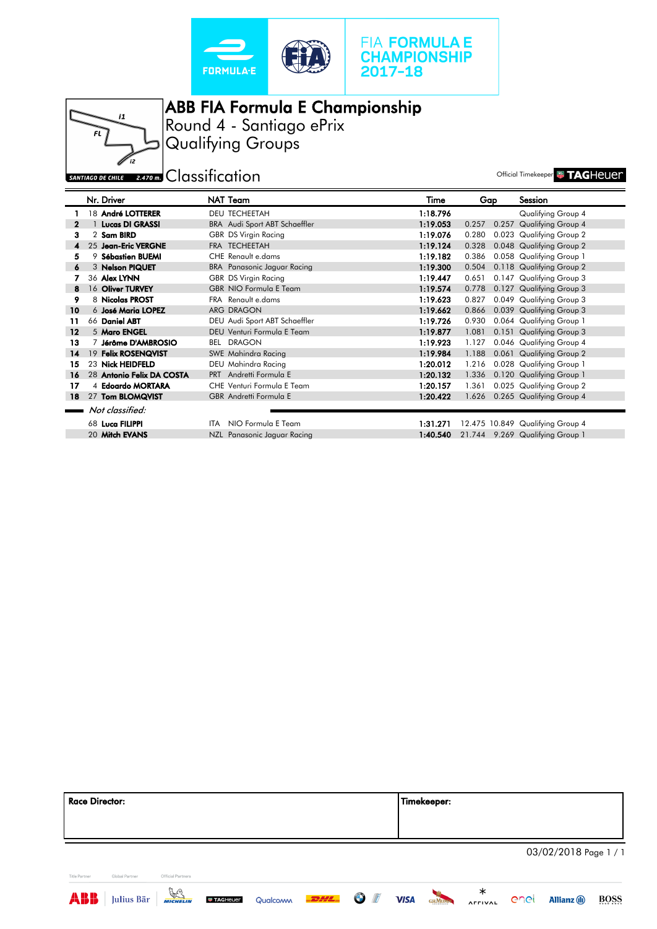





ABB FIA Formula E Championship Round 4 - Santiago ePrix Qualifying Groups

## SANTIAGO DE CHILE 2.470 M. CLASSIFICATION

|         | Nr. Driver                | NAT Team                             | Time     | Gap   | Session                          |
|---------|---------------------------|--------------------------------------|----------|-------|----------------------------------|
|         | 18 André LOTTERER         | <b>DEU TECHEETAH</b>                 | 1:18.796 |       | Qualifying Group 4               |
|         | <b>Lucas DI GRASSI</b>    | <b>BRA</b> Audi Sport ABT Schaeffler | 1:19.053 | 0.257 | 0.257 Qualifying Group 4         |
| з       | 2 Sam BIRD                | <b>GBR DS Virgin Racing</b>          | 1:19.076 | 0.280 | 0.023 Qualifying Group 2         |
|         | 25 Jean-Eric VERGNE       | FRA TECHEETAH                        | 1:19.124 | 0.328 | 0.048 Qualifying Group 2         |
| 5       | 9 Sébastien BUEMI         | CHE Renault e.dams                   | 1:19.182 | 0.386 | 0.058 Qualifying Group 1         |
| 6       | 3 Nelson PIQUET           | <b>BRA</b> Panasonic Jaguar Racing   | 1:19.300 | 0.504 | 0.118 Qualifying Group 2         |
|         | 36 Alex LYNN              | <b>GBR DS Virgin Racing</b>          | 1:19.447 | 0.651 | 0.147 Qualifying Group 3         |
| 8       | 16 Oliver TURVEY          | <b>GBR NIO Formula E Team</b>        | 1:19.574 | 0.778 | 0.127 Qualifying Group 3         |
| 9       | 8 Nicolas PROST           | FRA Renault e.dams                   | 1:19.623 | 0.827 | 0.049 Qualifying Group 3         |
| 10      | 6 José Maria LOPEZ        | ARG DRAGON                           | 1:19.662 | 0.866 | 0.039 Qualifying Group 3         |
| 11      | 66 Daniel ABT             | DEU Audi Sport ABT Schaeffler        | 1:19.726 | 0.930 | 0.064 Qualifying Group 1         |
| $12 \,$ | 5 Maro ENGEL              | DEU Venturi Formula E Team           | 1:19.877 | 1.081 | 0.151 Qualifying Group 3         |
| 13      | 7 Jérôme D'AMBROSIO       | <b>BEL DRAGON</b>                    | 1:19.923 | 1.127 | 0.046 Qualifying Group 4         |
| 14      | 19 Felix ROSENQVIST       | <b>SWE Mahindra Racing</b>           | 1:19.984 | 1.188 | 0.061 Qualifying Group 2         |
| 15      | 23 Nick HEIDFELD          | DEU Mahindra Racing                  | 1:20.012 | 1.216 | 0.028 Qualifying Group 1         |
| 16      | 28 Antonio Felix DA COSTA | PRT Andretti Formula E               | 1:20.132 | 1.336 | 0.120 Qualifying Group 1         |
| 17      | 4 Edoardo MORTARA         | CHE Venturi Formula E Team           | 1:20.157 | 1.361 | 0.025 Qualifying Group 2         |
| 18      | 27 Tom BLOMQVIST          | <b>GBR</b> Andretti Formula E        | 1:20.422 | 1.626 | 0.265 Qualifying Group 4         |
|         | Not classified:           |                                      |          |       |                                  |
|         | 68 Luca FILIPPI           | ITA NIO Formula E Team               | 1:31.271 |       | 12.475 10.849 Qualifying Group 4 |
|         | 20 Mitch EVANS            | NZL Panasonic Jaguar Racing          | 1:40.540 |       | 21.744 9.269 Qualifying Group 1  |

| <b>Race Director:</b> |                |                   | <b>Timekeeper:</b> |                       |
|-----------------------|----------------|-------------------|--------------------|-----------------------|
|                       |                |                   |                    | 03/02/2018 Page 1 / 1 |
| Title Partner         | Global Partner | Official Partners |                    |                       |

 $\bigcirc$  /*f* 

**VISA** GHMONN

**AFFIVAL** 

enel Allianz (ii) BOSS

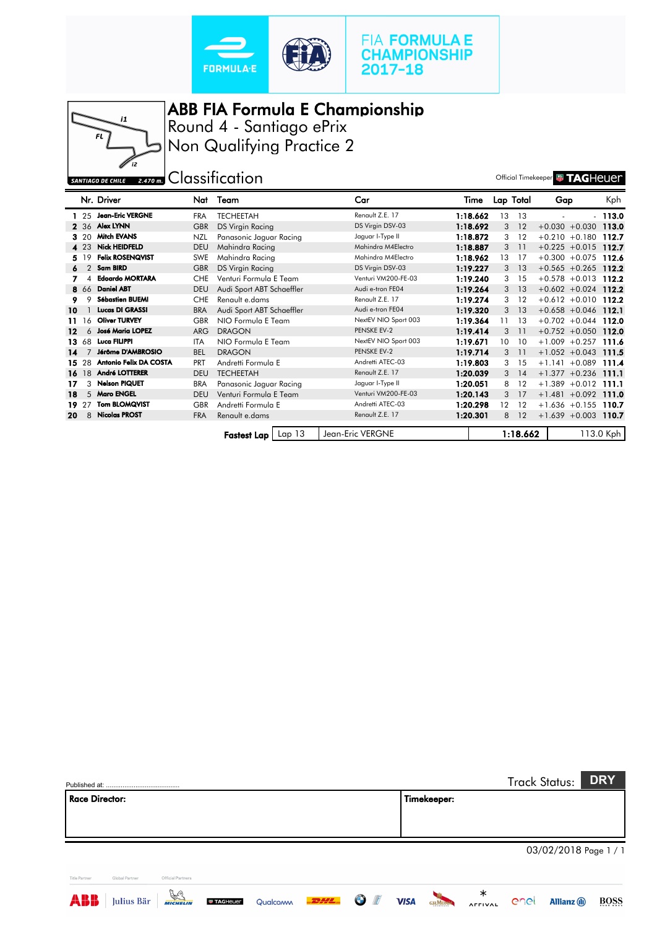





ABB FIA Formula E Championship Round 4 - Santiago ePrix

Non Qualifying Practice 2

SANTIAGO DE CHILE 2.470 M CLASSIFICATION

|     |       | Nr. Driver              | Nat        | Team                      | Car                  | Time     |    | Lap Total | Gap                    | Kph       |
|-----|-------|-------------------------|------------|---------------------------|----------------------|----------|----|-----------|------------------------|-----------|
|     |       | 1 25 Jean-Eric VERGNE   | <b>FRA</b> | <b>TECHEETAH</b>          | Renault Z.E. 17      | 1:18.662 | 13 | - 13      |                        | $-113.0$  |
|     |       | 2 36 Alex LYNN          | <b>GBR</b> | DS Virgin Racing          | DS Virgin DSV-03     | 1:18.692 | 3  | 12        | $+0.030 + 0.030$       | 113.0     |
|     | 3 20  | <b>Mitch EVANS</b>      | <b>NZL</b> | Panasonic Jaguar Racing   | Jaguar I-Type II     | 1:18.872 | 3  | 12        | $+0.210 + 0.180$       | 112.7     |
|     | 4 23  | <b>Nick HEIDFELD</b>    | <b>DEU</b> | Mahindra Racing           | Mahindra M4Electro   | 1:18.887 | 3  | 11        | $+0.225 + 0.015$       | 112.7     |
|     | 5 19  | <b>Felix ROSENQVIST</b> | SWE        | Mahindra Racing           | Mahindra M4Electro   | 1:18.962 | 13 | 17        | $+0.300 + 0.075$       | 112.6     |
| 6   |       | 2 Sam BIRD              | <b>GBR</b> | <b>DS Virgin Racing</b>   | DS Virgin DSV-03     | 1:19.227 | 3  | 13        | $+0.565 +0.265$        | 112.2     |
|     | 4     | <b>Edoardo MORTARA</b>  | <b>CHE</b> | Venturi Formula E Team    | Venturi VM200-FE-03  | 1:19.240 | 3  | 15        | $+0.578 + 0.013$       | 112.2     |
|     | 8 66  | <b>Daniel ABT</b>       | <b>DEU</b> | Audi Sport ABT Schaeffler | Audi e-tron FE04     | 1:19.264 | 3  | 13        | $+0.602 + 0.024$ 112.2 |           |
|     | 9     | <b>Sébastien BUEMI</b>  | <b>CHE</b> | Renault e.dams            | Renault Z.E. 17      | 1:19.274 | 3  | 12        | $+0.612 + 0.010$       | 112.2     |
| 10  |       | <b>Lucas DI GRASSI</b>  | <b>BRA</b> | Audi Sport ABT Schaeffler | Audi e-tron FE04     | 1:19.320 | 3  | 13        | $+0.658 + 0.046$ 112.1 |           |
| 11. | 16    | <b>Oliver TURVEY</b>    | <b>GBR</b> | NIO Formula E Team        | NextEV NIO Sport 003 | 1:19.364 | 11 | 13        | $+0.702 +0.044$ 112.0  |           |
| 12  | 6     | <b>José Maria LOPEZ</b> | <b>ARG</b> | <b>DRAGON</b>             | PENSKE EV-2          | 1:19.414 | 3  | 11        | $+0.752 + 0.050$ 112.0 |           |
|     | 13 68 | Luca FILIPPI            | <b>ITA</b> | NIO Formula E Team        | NextEV NIO Sport 003 | 1:19.671 | 10 | 10        | $+1.009 + 0.257$       | 111.6     |
| 14  |       | Jérôme D'AMBROSIO       | <b>BEL</b> | <b>DRAGON</b>             | PENSKE EV-2          | 1:19.714 | 3  | 11        | $+1.052 + 0.043$       | 111.5     |
|     | 15 28 | Antonio Felix DA COSTA  | <b>PRT</b> | Andretti Formula E        | Andretti ATEC-03     | 1:19.803 | 3  | 15        | $+1.141 + 0.089$       | 111.4     |
|     | 16 18 | <b>André LOTTERER</b>   | <b>DEU</b> | <b>TECHEETAH</b>          | Renault Z.E. 17      | 1:20.039 | 3  | 14        | $+1.377 + 0.236$       | 111.1     |
| 17  | 3     | <b>Nelson PIQUET</b>    | <b>BRA</b> | Panasonic Jaguar Racing   | Jaguar I-Type II     | 1:20.051 | 8  | 12        | $+1.389 + 0.012$ 111.1 |           |
| 18  |       | 5 Maro ENGEL            | <b>DEU</b> | Venturi Formula E Team    | Venturi VM200-FE-03  | 1:20.143 | 3  | 17        | $+1.481 + 0.092$       | 111.0     |
| 19. | 27    | <b>Tom BLOMQVIST</b>    | <b>GBR</b> | Andretti Formula E        | Andretti ATEC-03     | 1:20.298 | 12 | 12        | $+1.636 +0.155$        | 110.7     |
| 20  | 8     | <b>Nicolas PROST</b>    | <b>FRA</b> | Renault e.dams            | Renault Z.E. 17      | 1:20.301 | 8  | 12        | $+1.639 + 0.003$ 110.7 |           |
|     |       |                         |            |                           |                      |          |    |           |                        |           |
|     |       |                         |            | Lap 13<br>Fastest Lap     | Jean-Eric VERGNE     |          |    | 1:18.662  |                        | 113.0 Kph |

| <b>Race Director:</b> |                |                   |  |  | Timekeeper: |  |                       |  |
|-----------------------|----------------|-------------------|--|--|-------------|--|-----------------------|--|
|                       |                |                   |  |  |             |  | 03/02/2018 Page 1 / 1 |  |
|                       | Global Partner | Official Partners |  |  |             |  |                       |  |